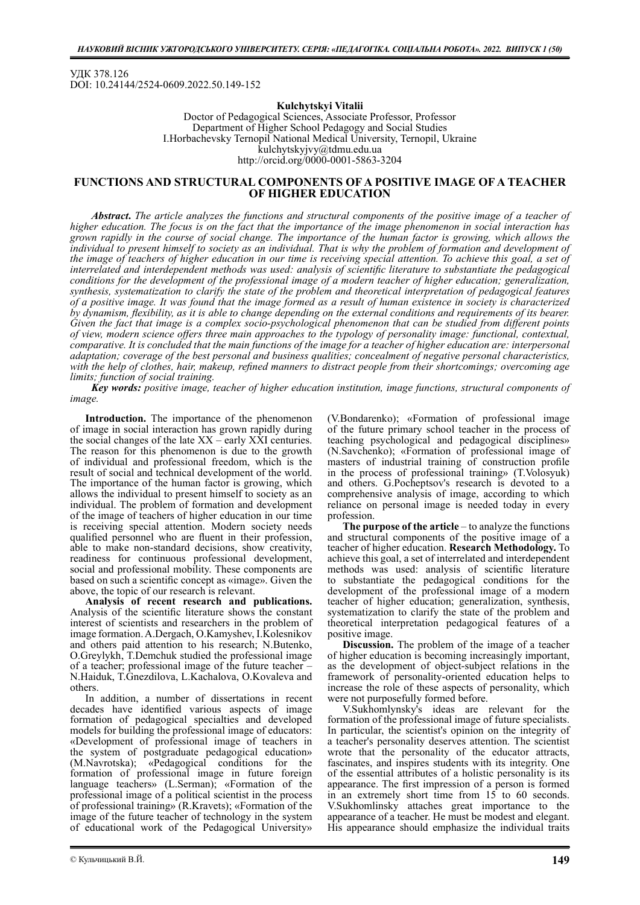УДК 378.126 DOI: 10.24144/2524-0609.2022.50.149-152

### Kulchytskyi Vitalii

Doctor of Pedagogical Sciences, Associate Professor, Professor Department of Higher School Pedagogy and Social Studies I.Horbachevsky Ternopil National Medical University, Ternopil, Ukraine kulchytskyjvy@tdmu.edu.ua http://orcid.org/0000-0001-5863-3204

# FUNCTIONS AND STRUCTURAL COMPONENTS OF A POSITIVE IMAGE OF A TEACHER OF HIGHER EDUCATION

Abstract. The article analyzes the functions and structural components of the positive image of a teacher of higher education. The focus is on the fact that the importance of the image phenomenon in social interaction has grown rapidly in the course of social change. The importance of the human factor is growing, which allows the individual to present himself to society as an individual. That is why the problem of formation and development of the image of teachers of higher education in our time is receiving special attention. To achieve this goal, a set of interrelated and interdependent methods was used: analysis of scientific literature to substantiate the pedagogical conditions for the development of the professional image of a modern teacher of higher education; generalization, synthesis, systematization to clarify the state of the problem and theoretical interpretation of pedagogical features of a positive image. It was found that the image formed as a result of human existence in society is characterized by dynamism, flexibility, as it is able to change depending on the external conditions and requirements of its bearer. Given the fact that image is a complex socio-psychological phenomenon that can be studied from different points of view, modern science offers three main approaches to the typology of personality image: functional, contextual, comparative. It is concluded that the main functions of the image for a teacher of higher education are: interpersonal adaptation; coverage of the best personal and business qualities; concealment of negative personal characteristics, with the help of clothes, hair, makeup, refined manners to distract people from their shortcomings; overcoming age limits; function of social training.

Key words: positive image, teacher of higher education institution, image functions, structural components of image.

Introduction. The importance of the phenomenon of image in social interaction has grown rapidly during the social changes of the late XX – early XXI centuries. The reason for this phenomenon is due to the growth of individual and professional freedom, which is the result of social and technical development of the world. The importance of the human factor is growing, which allows the individual to present himself to society as an individual. The problem of formation and development of the image of teachers of higher education in our time is receiving special attention. Modern society needs qualified personnel who are fluent in their profession, able to make non-standard decisions, show creativity, readiness for continuous professional development, social and professional mobility. These components are based on such a scientific concept as «image». Given the above, the topic of our research is relevant.

Analysis of recent research and publications. Analysis of the scientific literature shows the constant interest of scientists and researchers in the problem of image formation. A.Dergach, O.Kamyshev, I.Kolesnikov and others paid attention to his research; N.Butenko, O.Greylykh, T.Demchuk studied the professional image of a teacher; professional image of the future teacher – N.Haiduk, T.Gnezdilova, L.Kachalova, O.Kovaleva and others.

In addition, a number of dissertations in recent decades have identified various aspects of image formation of pedagogical specialties and developed models for building the professional image of educators: «Development of professional image of teachers in the system of postgraduate pedagogical education» (M.Navrotska); «Pedagogical conditions for the formation of professional image in future foreign language teachers» (L.Serman); «Formation of the professional image of a political scientist in the process of professional training» (R.Kravets); «Formation of the image of the future teacher of technology in the system of educational work of the Pedagogical University»

(V.Bondarenko); «Formation of professional image of the future primary school teacher in the process of teaching psychological and pedagogical disciplines» (N.Savchenko); «Formation of professional image of masters of industrial training of construction profile in the process of professional training» (T.Volosyuk) and others. G.Pocheptsov's research is devoted to a comprehensive analysis of image, according to which reliance on personal image is needed today in every profession.

The purpose of the article  $-$  to analyze the functions and structural components of the positive image of a teacher of higher education. Research Methodology. To achieve this goal, a set of interrelated and interdependent methods was used: analysis of scientific literature to substantiate the pedagogical conditions for the development of the professional image of a modern teacher of higher education; generalization, synthesis, systematization to clarify the state of the problem and theoretical interpretation pedagogical features of a positive image.

Discussion. The problem of the image of a teacher of higher education is becoming increasingly important, as the development of object-subject relations in the framework of personality-oriented education helps to increase the role of these aspects of personality, which were not purposefully formed before.

V.Sukhomlynsky's ideas are relevant for the formation of the professional image of future specialists. In particular, the scientist's opinion on the integrity of a teacher's personality deserves attention. The scientist wrote that the personality of the educator attracts, fascinates, and inspires students with its integrity. One of the essential attributes of a holistic personality is its appearance. The first impression of a person is formed in an extremely short time from 15 to 60 seconds. V.Sukhomlinsky attaches great importance to the appearance of a teacher. He must be modest and elegant. His appearance should emphasize the individual traits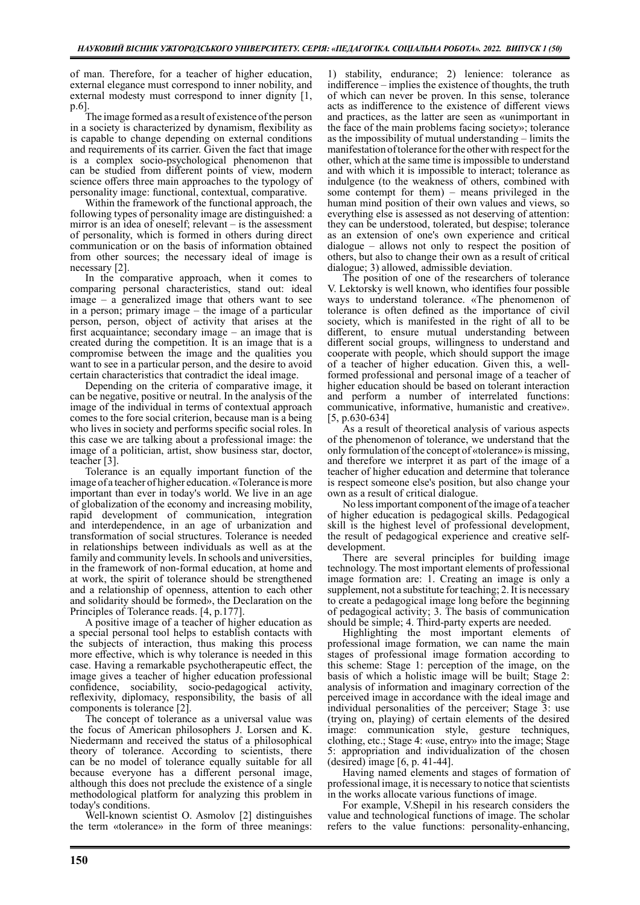of man. Therefore, for a teacher of higher education, external elegance must correspond to inner nobility, and external modesty must correspond to inner dignity [1, p.6]

The image formed as a result of existence of the person in a society is characterized by dynamism, flexibility as is capable to change depending on external conditions and requirements of its carrier. Given the fact that image is a complex socio-psychological phenomenon that can be studied from different points of view, modern science offers three main approaches to the typology of personality image: functional, contextual, comparative.

Within the framework of the functional approach, the following types of personality image are distinguished: a mirror is an idea of oneself; relevant – is the assessment of personality, which is formed in others during direct communication or on the basis of information obtained from other sources; the necessary ideal of image is necessary [2].

In the comparative approach, when it comes to comparing personal characteristics, stand out: ideal image – a generalized image that others want to see in a person; primary image – the image of a particular person, person, object of activity that arises at the first acquaintance; secondary image – an image that is created during the competition. It is an image that is a compromise between the image and the qualities you want to see in a particular person, and the desire to avoid certain characteristics that contradict the ideal image.

Depending on the criteria of comparative image, it can be negative, positive or neutral. In the analysis of the image of the individual in terms of contextual approach comes to the fore social criterion, because man is a being who lives in society and performs specific social roles. In this case we are talking about a professional image: the image of a politician, artist, show business star, doctor, teacher [3].

Tolerance is an equally important function of the image of a teacher of higher education. «Tolerance is more important than ever in today's world. We live in an age of globalization of the economy and increasing mobility, rapid development of communication, integration and interdependence, in an age of urbanization and transformation of social structures. Tolerance is needed in relationships between individuals as well as at the family and community levels. In schools and universities, in the framework of non-formal education, at home and at work, the spirit of tolerance should be strengthened and a relationship of openness, attention to each other and solidarity should be formed», the Declaration on the Principles of Tolerance reads. [4, p.177].

A positive image of a teacher of higher education as a special personal tool helps to establish contacts with the subjects of interaction, thus making this process more effective, which is why tolerance is needed in this case. Having a remarkable psychotherapeutic effect, the image gives a teacher of higher education professional confidence, sociability, socio-pedagogical activity, reflexivity, diplomacy, responsibility, the basis of all components is tolerance [2].

The concept of tolerance as a universal value was the focus of American philosophers J. Lorsen and K. Niedermann and received the status of a philosophical theory of tolerance. According to scientists, there can be no model of tolerance equally suitable for all because everyone has a different personal image, although this does not preclude the existence of a single methodological platform for analyzing this problem in today's conditions.

Well-known scientist O. Asmolov [2] distinguishes the term «tolerance» in the form of three meanings:

1) stability, endurance; 2) lenience: tolerance as indifference – implies the existence of thoughts, the truth of which can never be proven. In this sense, tolerance acts as indifference to the existence of different views and practices, as the latter are seen as «unimportant in the face of the main problems facing society»; tolerance as the impossibility of mutual understanding – limits the manifestation of tolerance for the other with respect for the other, which at the same time is impossible to understand and with which it is impossible to interact; tolerance as indulgence (to the weakness of others, combined with some contempt for them) – means privileged in the human mind position of their own values and views, so everything else is assessed as not deserving of attention: they can be understood, tolerated, but despise; tolerance as an extension of one's own experience and critical dialogue – allows not only to respect the position of others, but also to change their own as a result of critical dialogue; 3) allowed, admissible deviation.

The position of one of the researchers of tolerance V. Lektorsky is well known, who identifies four possible ways to understand tolerance. «The phenomenon of tolerance is often defined as the importance of civil society, which is manifested in the right of all to be different, to ensure mutual understanding between different social groups, willingness to understand and cooperate with people, which should support the image of a teacher of higher education. Given this, a wellformed professional and personal image of a teacher of higher education should be based on tolerant interaction and perform a number of interrelated functions: communicative, informative, humanistic and creative». [5, p.630-634]

As a result of theoretical analysis of various aspects of the phenomenon of tolerance, we understand that the only formulation of the concept of «tolerance» is missing, and therefore we interpret it as part of the image of a teacher of higher education and determine that tolerance is respect someone else's position, but also change your own as a result of critical dialogue.

No less important component of the image of a teacher of higher education is pedagogical skills. Pedagogical skill is the highest level of professional development, the result of pedagogical experience and creative selfdevelopment.

There are several principles for building image technology. The most important elements of professional image formation are: 1. Creating an image is only a supplement, not a substitute for teaching; 2. It is necessary to create a pedagogical image long before the beginning of pedagogical activity; 3. The basis of communication should be simple; 4. Third-party experts are needed.

Highlighting the most important elements professional image formation, we can name the main stages of professional image formation according to this scheme: Stage 1: perception of the image, on the basis of which a holistic image will be built; Stage 2: analysis of information and imaginary correction of the perceived image in accordance with the ideal image and individual personalities of the perceiver; Stage 3: use (trying on, playing) of certain elements of the desired image: communication style, gesture techniques, clothing, etc.; Stage 4: «use, entry» into the image; Stage 5: appropriation and individualization of the chosen (desired) image [6, p. 41-44].

Having named elements and stages of formation of professional image, it is necessary to notice that scientists in the works allocate various functions of image.

For example, V.Shepil in his research considers the value and technological functions of image. The scholar refers to the value functions: personality-enhancing,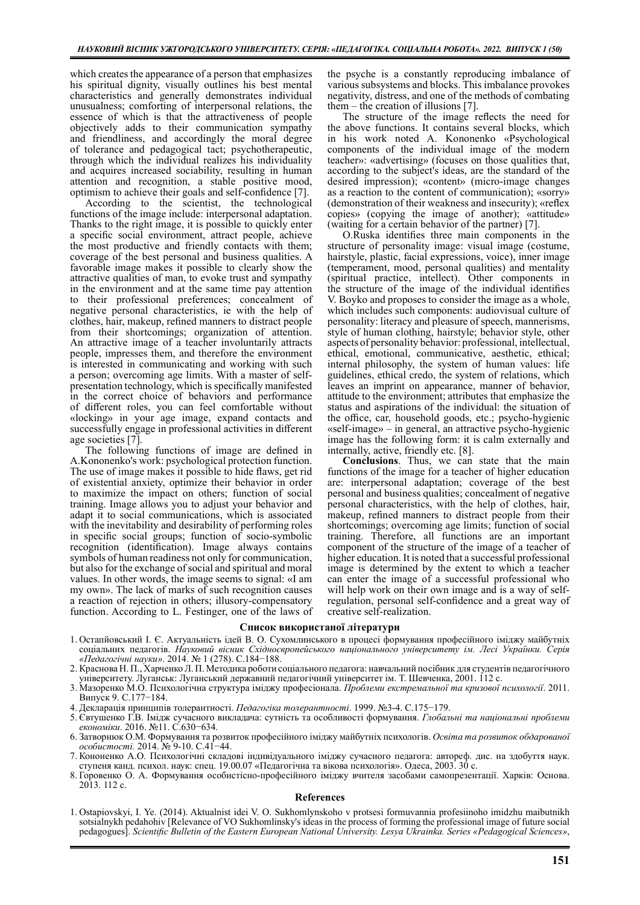which creates the appearance of a person that emphasizes his spiritual dignity, visually outlines his best mental characteristics and generally demonstrates individual unusualness; comforting of interpersonal relations, the essence of which is that the attractiveness of people objectively adds to their communication sympathy and friendliness, and accordingly the moral degree of tolerance and pedagogical tact; psychotherapeutic, through which the individual realizes his individuality and acquires increased sociability, resulting in human attention and recognition, a stable positive mood, optimism to achieve their goals and self-confidence [7].

According to the scientist, the technological functions of the image include: interpersonal adaptation. Thanks to the right image, it is possible to quickly enter a specific social environment, attract people, achieve the most productive and friendly contacts with them; coverage of the best personal and business qualities. A favorable image makes it possible to clearly show the attractive qualities of man, to evoke trust and sympathy in the environment and at the same time pay attention to their professional preferences; concealment of negative personal characteristics, ie with the help of clothes, hair, makeup, refined manners to distract people from their shortcomings; organization of attention. An attractive image of a teacher involuntarily attracts people, impresses them, and therefore the environment is interested in communicating and working with such a person; overcoming age limits. With a master of selfpresentation technology, which is specifically manifested in the correct choice of behaviors and performance of different roles, you can feel comfortable without «locking» in your age image, expand contacts and successfully engage in professional activities in different age societies [7].

The following functions of image are defined in A.Kononenko's work: psychological protection function. The use of image makes it possible to hide flaws, get rid of existential anxiety, optimize their behavior in order to maximize the impact on others; function of social training. Image allows you to adjust your behavior and adapt it to social communications, which is associated with the inevitability and desirability of performing roles in specific social groups; function of socio-symbolic recognition (identification). Image always contains symbols of human readiness not only for communication, but also for the exchange of social and spiritual and moral values. In other words, the image seems to signal: «I am my own». The lack of marks of such recognition causes a reaction of rejection in others; illusory-compensatory function. According to L. Festinger, one of the laws of

the psyche is a constantly reproducing imbalance of various subsystems and blocks. This imbalance provokes negativity, distress, and one of the methods of combating them – the creation of illusions [7].

The structure of the image reflects the need for the above functions. It contains several blocks, which in his work noted A. Kononenko «Psychological components of the individual image of the modern teacher»: «advertising» (focuses on those qualities that, according to the subject's ideas, are the standard of the desired impression); «content» (micro-image changes as a reaction to the content of communication); «sorry» (demonstration of their weakness and insecurity); «reflex copies» (copying the image of another); «attitude» (waiting for a certain behavior of the partner) [7].

O.Ruska identifies three main components in the structure of personality image: visual image (costume, hairstyle, plastic, facial expressions, voice), inner image (temperament, mood, personal qualities) and mentality (spiritual practice, intellect). Other components in the structure of the image of the individual identifies V. Boyko and proposes to consider the image as a whole, which includes such components: audiovisual culture of personality: literacy and pleasure of speech, mannerisms, style of human clothing, hairstyle; behavior style, other aspects of personality behavior: professional, intellectual, ethical, emotional, communicative, aesthetic, ethical; internal philosophy, the system of human values: life guidelines, ethical credo, the system of relations, which leaves an imprint on appearance, manner of behavior, attitude to the environment; attributes that emphasize the status and aspirations of the individual: the situation of the office, car, household goods, etc.; psycho-hygienic «self-image» – in general, an attractive psycho-hygienic image has the following form: it is calm externally and internally, active, friendly etc. [8].

Conclusions. Thus, we can state that the main functions of the image for a teacher of higher education are: interpersonal adaptation; coverage of the best personal and business qualities; concealment of negative personal characteristics, with the help of clothes, hair, makeup, refined manners to distract people from their shortcomings; overcoming age limits; function of social training. Therefore, all functions are an important component of the structure of the image of a teacher of higher education. It is noted that a successful professional image is determined by the extent to which a teacher can enter the image of a successful professional who will help work on their own image and is a way of selfregulation, personal self-confidence and a great way of creative self-realization.

### Список використаної літератури

- 1. Остапйовський І. Є. Актуальність ідей В. О. Сухомлинського в процесі формування професійного іміджу майбутніх соціальних педагогів. Науковий вісник Східноєвропейського національного університету ім. Лесі Українки. Серія «Педагогічні науки». 2014. № 1 (278). С.184−188.
- 2. Краснова Н. П., Харченко Л. П. Методика роботи соціального педагога: навчальний посібник для студентів педагогічного університету. Луганськ: Луганський державний педагогічний університет ім. Т. Шевченка, 2001. 112 c.
- 3. Мазоренко М.О. Психологічна структура іміджу професіонала. Проблеми екстремальної та кризової психології. 2011. Випуск 9. С.177−184.
- 4. Декларація принципів толерантності. Педагогіка толерантності. 1999. №3-4. С.175−179.
- 5. Євтушенко Г.В. Імідж сучасного викладача: сутність та особливості формування. Глобальні та національні проблеми економіки. 2016. №11. С.630−634.
- 6. Затворнюк О.М. Формування та розвиток професійного іміджу майбутніх психологів. Освіта та розвиток обдарованої особистості. 2014. № 9-10. С.41−44.
- 7. Кононенко А.О. Психологічні складові індивідуального іміджу сучасного педагога: автореф. дис. на здобуття наук. ступеня канд. психол. наук: спец. 19.00.07 «Педагогічна та вікова психологія». Одеса, 2003. 30 с.
- 8. Горовенко О. А. Формування особистісно-професійного іміджу вчителя засобами самопрезентації. Харків: Основа. 2013. 112 с.

### References

1. Ostapiovskyi, I. Ye. (2014). Aktualnist idei V. O. Sukhomlynskoho v protsesi formuvannia profesiinoho imidzhu maibutnikh sotsialnykh pedahohiv [Relevance of VO Sukhomlinsky's ideas in the process of forming the professional image of future social pedagogues]. Scientific Bulletin of the Eastern European National University. Lesya Ukrainka. Series «Pedagogical Sciences»,